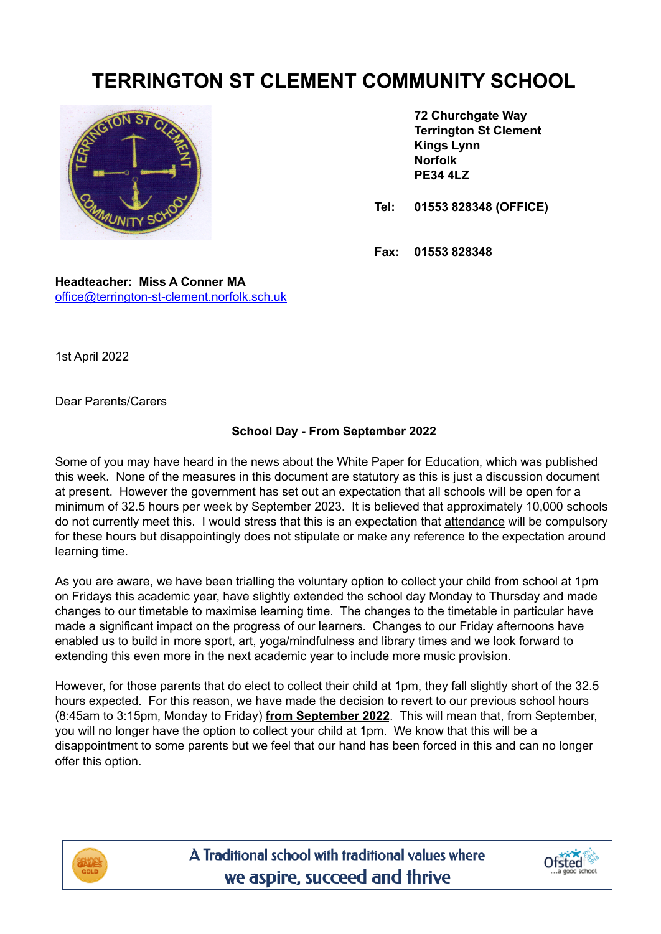## **TERRINGTON ST CLEMENT COMMUNITY SCHOOL**



**72 Churchgate Way Terrington St Clement Kings Lynn Norfolk PE34 4LZ**

**Tel: 01553 828348 (OFFICE)**

**Fax: 01553 828348**

**Headteacher: Miss A Conner MA** [office@terrington-st-clement.norfolk.sch.uk](mailto:office@terrington-st-clement.norfolk.sch.uk)

1st April 2022

Dear Parents/Carers

## **School Day - From September 2022**

Some of you may have heard in the news about the White Paper for Education, which was published this week. None of the measures in this document are statutory as this is just a discussion document at present. However the government has set out an expectation that all schools will be open for a minimum of 32.5 hours per week by September 2023. It is believed that approximately 10,000 schools do not currently meet this. I would stress that this is an expectation that attendance will be compulsory for these hours but disappointingly does not stipulate or make any reference to the expectation around learning time.

As you are aware, we have been trialling the voluntary option to collect your child from school at 1pm on Fridays this academic year, have slightly extended the school day Monday to Thursday and made changes to our timetable to maximise learning time. The changes to the timetable in particular have made a significant impact on the progress of our learners. Changes to our Friday afternoons have enabled us to build in more sport, art, yoga/mindfulness and library times and we look forward to extending this even more in the next academic year to include more music provision.

However, for those parents that do elect to collect their child at 1pm, they fall slightly short of the 32.5 hours expected. For this reason, we have made the decision to revert to our previous school hours (8:45am to 3:15pm, Monday to Friday) **from September 2022**. This will mean that, from September, you will no longer have the option to collect your child at 1pm. We know that this will be a disappointment to some parents but we feel that our hand has been forced in this and can no longer offer this option.



A Traditional school with traditional values where we aspire, succeed and thrive